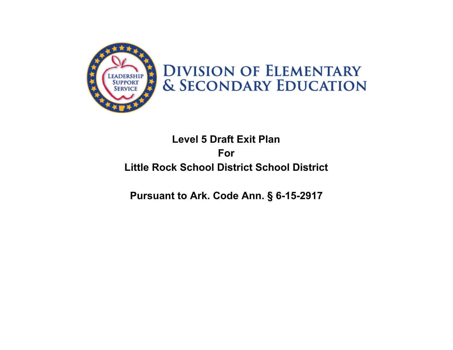

# **DIVISION OF ELEMENTARY & SECONDARY EDUCATION**

## **Level 5 Draft Exit Plan For Little Rock School District School District**

### **Pursuant to Ark. Code Ann. § 6-15-2917**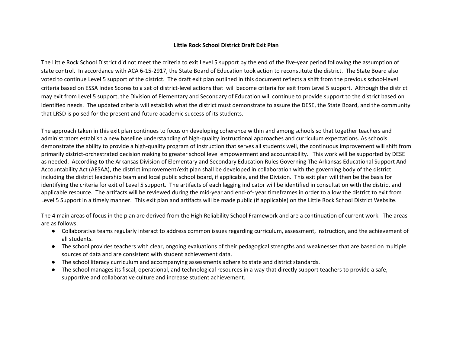#### **Little Rock School District Draft Exit Plan**

The Little Rock School District did not meet the criteria to exit Level 5 support by the end of the five-year period following the assumption of state control. In accordance with ACA 6-15-2917, the State Board of Education took action to reconstitute the district. The State Board also voted to continue Level 5 support of the district. The draft exit plan outlined in this document reflects a shift from the previous school-level criteria based on ESSA Index Scores to a set of district-level actions that will become criteria for exit from Level 5 support. Although the district may exit from Level 5 support, the Division of Elementary and Secondary of Education will continue to provide support to the district based on identified needs. The updated criteria will establish what the district must demonstrate to assure the DESE, the State Board, and the community that LRSD is poised for the present and future academic success of its students.

The approach taken in this exit plan continues to focus on developing coherence within and among schools so that together teachers and administrators establish a new baseline understanding of high-quality instructional approaches and curriculum expectations. As schools demonstrate the ability to provide a high-quality program of instruction that serves all students well, the continuous improvement will shift from primarily district-orchestrated decision making to greater school level empowerment and accountability. This work will be supported by DESE as needed. According to the Arkansas Division of Elementary and Secondary Education Rules Governing The Arkansas Educational Support And Accountability Act (AESAA), the district improvement/exit plan shall be developed in collaboration with the governing body of the district including the district leadership team and local public school board, if applicable, and the Division. This exit plan will then be the basis for identifying the criteria for exit of Level 5 support. The artifacts of each lagging indicator will be identified in consultation with the district and applicable resource. The artifacts will be reviewed during the mid-year and end-of- year timeframes in order to allow the district to exit from Level 5 Support in a timely manner. This exit plan and artifacts will be made public (if applicable) on the Little Rock School District Website.

The 4 main areas of focus in the plan are derived from the High Reliability School Framework and are a continuation of current work. The areas are as follows:

- Collaborative teams regularly interact to address common issues regarding curriculum, assessment, instruction, and the achievement of all students.
- The school provides teachers with clear, ongoing evaluations of their pedagogical strengths and weaknesses that are based on multiple sources of data and are consistent with student achievement data.
- The school literacy curriculum and accompanying assessments adhere to state and district standards.
- The school manages its fiscal, operational, and technological resources in a way that directly support teachers to provide a safe, supportive and collaborative culture and increase student achievement.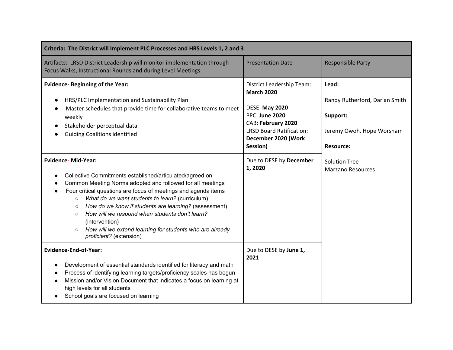| Criteria: The District will Implement PLC Processes and HRS Levels 1, 2 and 3                                                                                                                                                                                                                                                                                                                                                                                                                                                                         |                                                                                                                                                                                              |                                                                                                      |  |
|-------------------------------------------------------------------------------------------------------------------------------------------------------------------------------------------------------------------------------------------------------------------------------------------------------------------------------------------------------------------------------------------------------------------------------------------------------------------------------------------------------------------------------------------------------|----------------------------------------------------------------------------------------------------------------------------------------------------------------------------------------------|------------------------------------------------------------------------------------------------------|--|
| Artifacts: LRSD District Leadership will monitor implementation through<br>Focus Walks, Instructional Rounds and during Level Meetings.                                                                                                                                                                                                                                                                                                                                                                                                               | <b>Presentation Date</b>                                                                                                                                                                     | <b>Responsible Party</b>                                                                             |  |
| <b>Evidence- Beginning of the Year:</b><br>HRS/PLC Implementation and Sustainability Plan<br>Master schedules that provide time for collaborative teams to meet<br>weekly<br>Stakeholder perceptual data<br><b>Guiding Coalitions identified</b>                                                                                                                                                                                                                                                                                                      | District Leadership Team:<br><b>March 2020</b><br><b>DESE: May 2020</b><br><b>PPC: June 2020</b><br>CAB: February 2020<br><b>LRSD Board Ratification:</b><br>December 2020 (Work<br>Session) | Lead:<br>Randy Rutherford, Darian Smith<br>Support:<br>Jeremy Owoh, Hope Worsham<br><b>Resource:</b> |  |
| <b>Evidence-Mid-Year:</b><br>Collective Commitments established/articulated/agreed on<br>Common Meeting Norms adopted and followed for all meetings<br>Four critical questions are focus of meetings and agenda items<br>$\bullet$<br>What do we want students to learn? (curriculum)<br>$\circ$<br>How do we know if students are learning? (assessment)<br>$\circ$<br>How will we respond when students don't learn?<br>$\circ$<br>(intervention)<br>How will we extend learning for students who are already<br>$\circ$<br>proficient? (extension) | Due to DESE by December<br>1,2020                                                                                                                                                            | <b>Solution Tree</b><br><b>Marzano Resources</b>                                                     |  |
| <b>Evidence-End-of-Year:</b><br>Development of essential standards identified for literacy and math<br>Process of identifying learning targets/proficiency scales has begun<br>Mission and/or Vision Document that indicates a focus on learning at<br>high levels for all students<br>School goals are focused on learning                                                                                                                                                                                                                           | Due to DESE by June 1,<br>2021                                                                                                                                                               |                                                                                                      |  |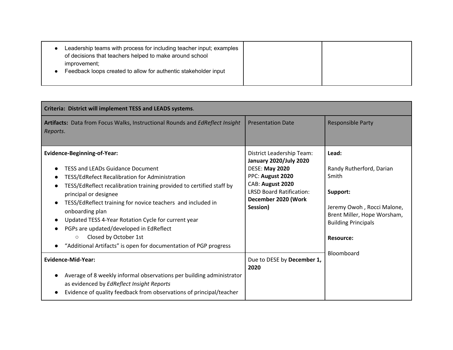| Leadership teams with process for including teacher input; examples<br>of decisions that teachers helped to make around school<br>improvement;<br>Feedback loops created to allow for authentic stakeholder input |  |  |
|-------------------------------------------------------------------------------------------------------------------------------------------------------------------------------------------------------------------|--|--|
|-------------------------------------------------------------------------------------------------------------------------------------------------------------------------------------------------------------------|--|--|

| Criteria: District will implement TESS and LEADS systems.                                                                                                                                                                                                                                                                                                                                                                                                                                                                                 |                                                                                                                                                                                                          |                                                                                                                                                                                     |  |
|-------------------------------------------------------------------------------------------------------------------------------------------------------------------------------------------------------------------------------------------------------------------------------------------------------------------------------------------------------------------------------------------------------------------------------------------------------------------------------------------------------------------------------------------|----------------------------------------------------------------------------------------------------------------------------------------------------------------------------------------------------------|-------------------------------------------------------------------------------------------------------------------------------------------------------------------------------------|--|
| Artifacts: Data from Focus Walks, Instructional Rounds and EdReflect Insight<br>Reports.                                                                                                                                                                                                                                                                                                                                                                                                                                                  | <b>Presentation Date</b>                                                                                                                                                                                 | <b>Responsible Party</b>                                                                                                                                                            |  |
| <b>Evidence-Beginning-of-Year:</b><br><b>TESS and LEADs Guidance Document</b><br>TESS/EdRefect Recalibration for Administration<br>$\bullet$<br>TESS/EdReflect recalibration training provided to certified staff by<br>principal or designee<br>TESS/EdReflect training for novice teachers and included in<br>onboarding plan<br>Updated TESS 4-Year Rotation Cycle for current year<br>PGPs are updated/developed in EdReflect<br>Closed by October 1st<br>$\circ$<br>"Additional Artifacts" is open for documentation of PGP progress | <b>District Leadership Team:</b><br><b>January 2020/July 2020</b><br><b>DESE: May 2020</b><br>PPC: August 2020<br>CAB: August 2020<br><b>LRSD Board Ratification:</b><br>December 2020 (Work<br>Session) | Lead:<br>Randy Rutherford, Darian<br>Smith<br>Support:<br>Jeremy Owoh, Rocci Malone,<br>Brent Miller, Hope Worsham,<br><b>Building Principals</b><br><b>Resource:</b><br>Bloomboard |  |
| <b>Evidence-Mid-Year:</b><br>Average of 8 weekly informal observations per building administrator<br>as evidenced by EdReflect Insight Reports<br>Evidence of quality feedback from observations of principal/teacher                                                                                                                                                                                                                                                                                                                     | Due to DESE by December 1,<br>2020                                                                                                                                                                       |                                                                                                                                                                                     |  |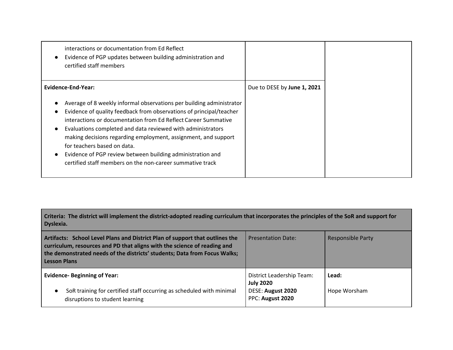| interactions or documentation from Ed Reflect<br>Evidence of PGP updates between building administration and<br>certified staff members                                                                                                                                                                                                                                                                                                                                                                                        |                             |
|--------------------------------------------------------------------------------------------------------------------------------------------------------------------------------------------------------------------------------------------------------------------------------------------------------------------------------------------------------------------------------------------------------------------------------------------------------------------------------------------------------------------------------|-----------------------------|
| Evidence-End-Year:<br>Average of 8 weekly informal observations per building administrator<br>Evidence of quality feedback from observations of principal/teacher<br>interactions or documentation from Ed Reflect Career Summative<br>Evaluations completed and data reviewed with administrators<br>making decisions regarding employment, assignment, and support<br>for teachers based on data.<br>Evidence of PGP review between building administration and<br>certified staff members on the non-career summative track | Due to DESE by June 1, 2021 |

### Criteria: The district will implement the district-adopted reading curriculum that incorporates the principles of the SoR and support for **Dyslexia.**

| Artifacts: School Level Plans and District Plan of support that outlines the<br>curriculum, resources and PD that aligns with the science of reading and<br>the demonstrated needs of the districts' students; Data from Focus Walks;<br><b>Lesson Plans</b> | <b>Presentation Date:</b>                                                                     | <b>Responsible Party</b> |
|--------------------------------------------------------------------------------------------------------------------------------------------------------------------------------------------------------------------------------------------------------------|-----------------------------------------------------------------------------------------------|--------------------------|
| <b>Evidence- Beginning of Year:</b><br>SoR training for certified staff occurring as scheduled with minimal<br>disruptions to student learning                                                                                                               | <b>District Leadership Team:</b><br><b>July 2020</b><br>DESE: August 2020<br>PPC: August 2020 | Lead:<br>Hope Worsham    |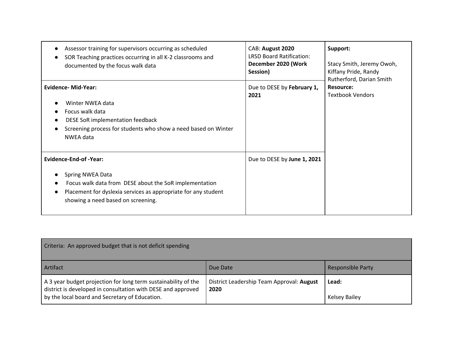| Assessor training for supervisors occurring as scheduled<br>SOR Teaching practices occurring in all K-2 classrooms and<br>documented by the focus walk data                                                        | CAB: August 2020<br><b>LRSD Board Ratification:</b><br>December 2020 (Work<br>Session) | Support:<br>Stacy Smith, Jeremy Owoh,<br>Kiffany Pride, Randy<br>Rutherford, Darian Smith |
|--------------------------------------------------------------------------------------------------------------------------------------------------------------------------------------------------------------------|----------------------------------------------------------------------------------------|-------------------------------------------------------------------------------------------|
| <b>Evidence-Mid-Year:</b><br>Winter NWEA data<br>Focus walk data<br>DESE SoR implementation feedback<br>Screening process for students who show a need based on Winter<br>NWEA data                                | Due to DESE by February 1,<br>2021                                                     | <b>Resource:</b><br><b>Textbook Vendors</b>                                               |
| <b>Evidence-End-of-Year:</b><br>Spring NWEA Data<br>Focus walk data from DESE about the SoR implementation<br>Placement for dyslexia services as appropriate for any student<br>showing a need based on screening. | Due to DESE by June 1, 2021                                                            |                                                                                           |

| Criteria: An approved budget that is not deficit spending                                                                                                                        |                                                   |                          |
|----------------------------------------------------------------------------------------------------------------------------------------------------------------------------------|---------------------------------------------------|--------------------------|
| Artifact                                                                                                                                                                         | Due Date                                          | <b>Responsible Party</b> |
| A 3 year budget projection for long term sustainability of the<br>district is developed in consultation with DESE and approved<br>by the local board and Secretary of Education. | District Leadership Team Approval: August<br>2020 | Lead:<br>Kelsey Bailey   |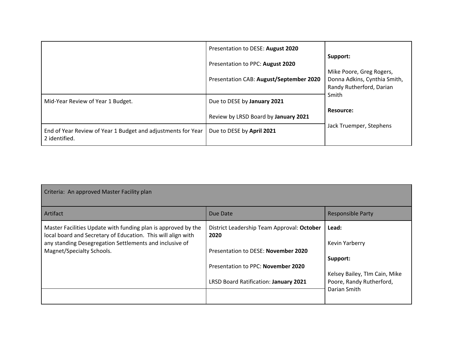|                                                                               | Presentation to DESE: August 2020       |                                                                                      |
|-------------------------------------------------------------------------------|-----------------------------------------|--------------------------------------------------------------------------------------|
|                                                                               | Presentation to PPC: August 2020        | Support:                                                                             |
|                                                                               | Presentation CAB: August/September 2020 | Mike Poore, Greg Rogers,<br>Donna Adkins, Cynthia Smith,<br>Randy Rutherford, Darian |
| Mid-Year Review of Year 1 Budget.                                             | Due to DESE by January 2021             | Smith                                                                                |
|                                                                               | Review by LRSD Board by January 2021    | <b>Resource:</b>                                                                     |
| End of Year Review of Year 1 Budget and adjustments for Year<br>2 identified. | Due to DESE by April 2021               | Jack Truemper, Stephens                                                              |

| Criteria: An approved Master Facility plan                                                                                    |                                                    |                               |  |
|-------------------------------------------------------------------------------------------------------------------------------|----------------------------------------------------|-------------------------------|--|
| Artifact                                                                                                                      | Due Date                                           | <b>Responsible Party</b>      |  |
| Master Facilities Update with funding plan is approved by the<br>local board and Secretary of Education. This will align with | District Leadership Team Approval: October<br>2020 | Lead:                         |  |
| any standing Desegregation Settlements and inclusive of                                                                       |                                                    | Kevin Yarberry                |  |
| Magnet/Specialty Schools.                                                                                                     | Presentation to DESE: November 2020                |                               |  |
|                                                                                                                               |                                                    | Support:                      |  |
|                                                                                                                               | Presentation to PPC: November 2020                 |                               |  |
|                                                                                                                               |                                                    | Kelsey Bailey, TIm Cain, Mike |  |
|                                                                                                                               | LRSD Board Ratification: January 2021              | Poore, Randy Rutherford,      |  |
|                                                                                                                               |                                                    | Darian Smith                  |  |
|                                                                                                                               |                                                    |                               |  |